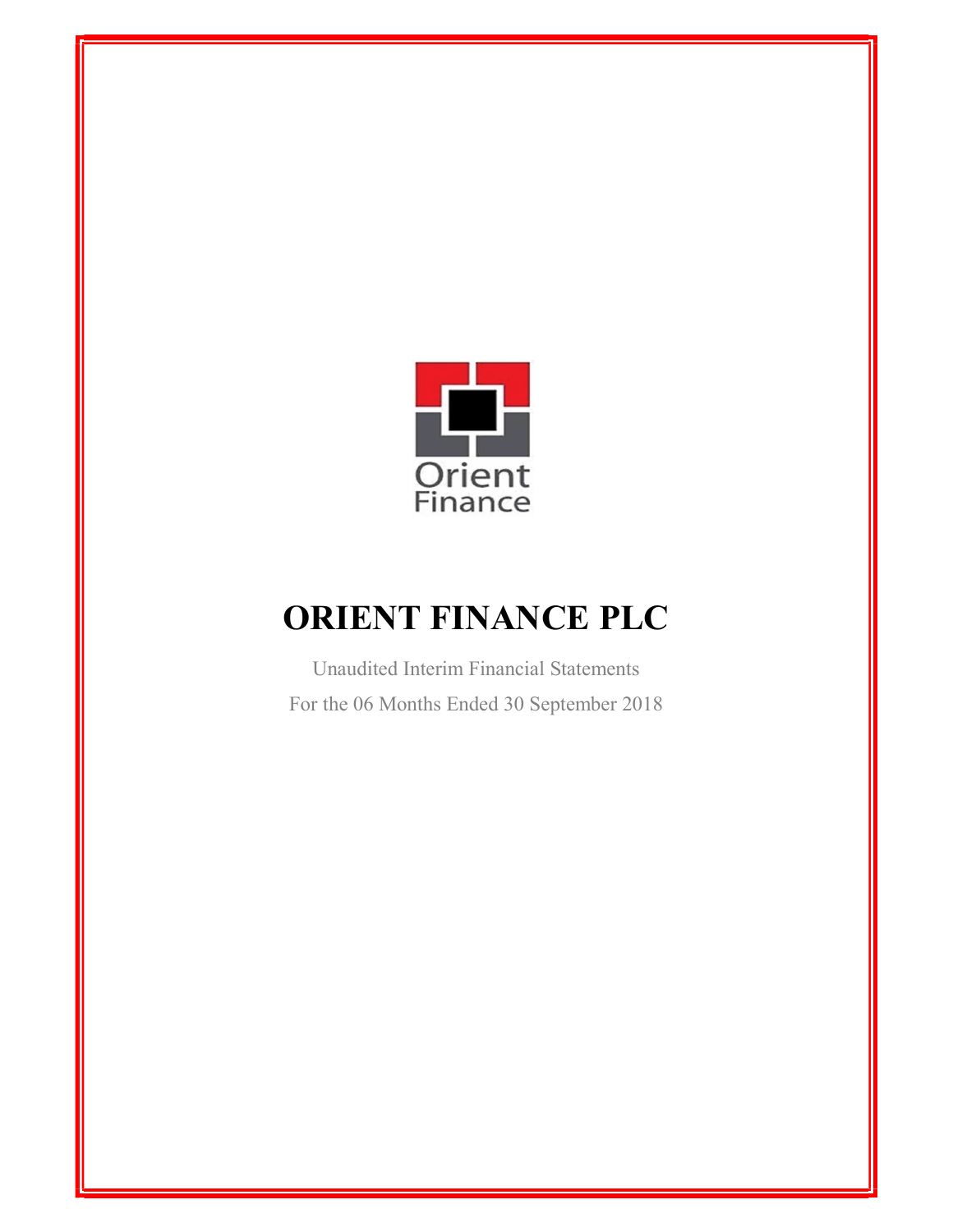

Unaudited Interim Financial Statements For the 06 Months Ended 30 September 2018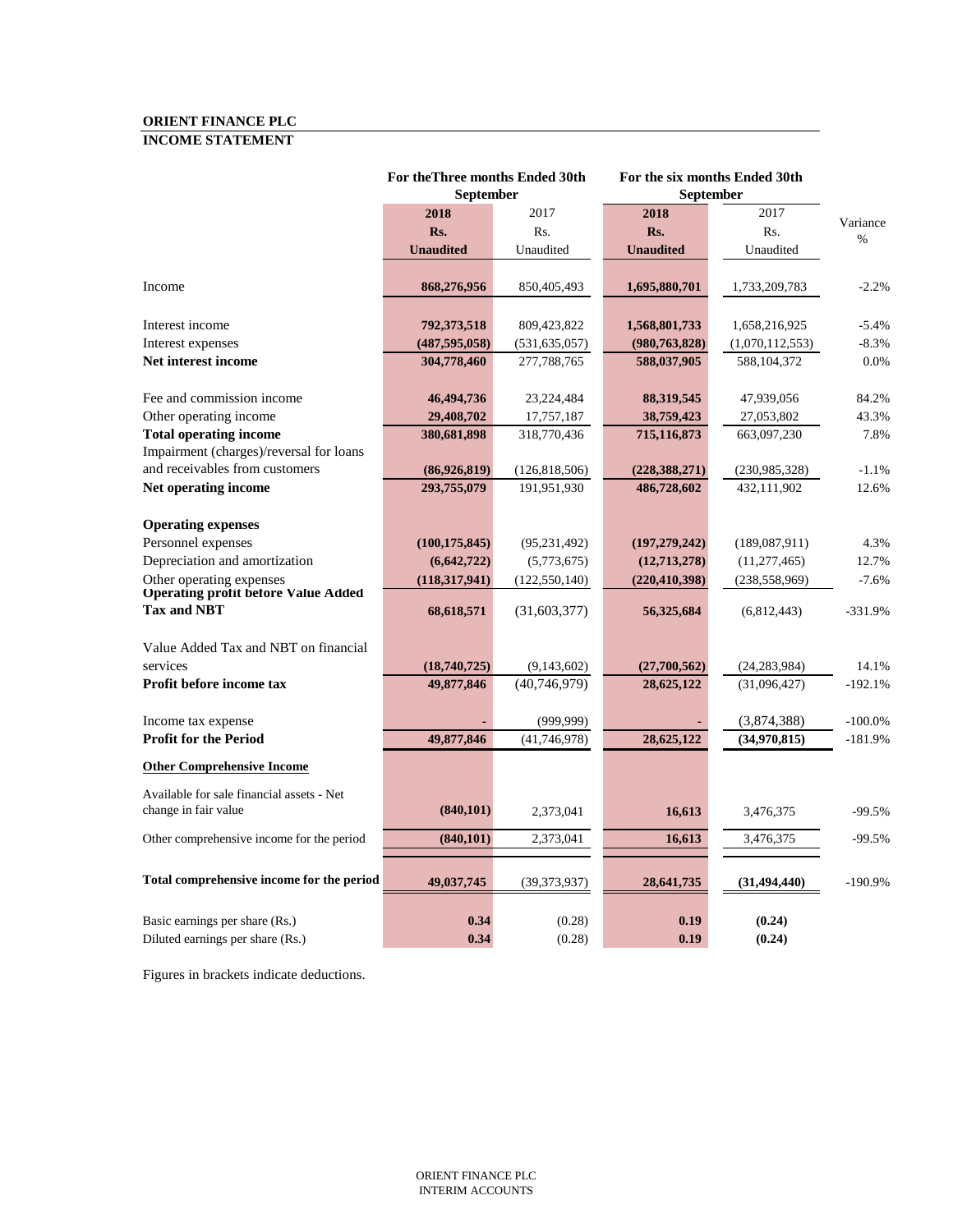# **ORIENT FINANCE PLC INCOME STATEMENT**

|                                                                          | For the Three months Ended 30th<br><b>September</b> |                 | For the six months Ended 30th<br><b>September</b> |                 |                  |
|--------------------------------------------------------------------------|-----------------------------------------------------|-----------------|---------------------------------------------------|-----------------|------------------|
|                                                                          | 2018                                                | 2017            | 2018                                              | 2017            |                  |
|                                                                          | Rs.                                                 | Rs.             | Rs.                                               | Rs.             | Variance<br>$\%$ |
|                                                                          | <b>Unaudited</b>                                    | Unaudited       | <b>Unaudited</b>                                  | Unaudited       |                  |
| Income                                                                   | 868,276,956                                         | 850,405,493     | 1,695,880,701                                     | 1,733,209,783   | $-2.2%$          |
| Interest income                                                          | 792,373,518                                         | 809,423,822     | 1,568,801,733                                     | 1,658,216,925   | $-5.4%$          |
| Interest expenses                                                        | (487, 595, 058)                                     | (531, 635, 057) | (980, 763, 828)                                   | (1,070,112,553) | $-8.3%$          |
| Net interest income                                                      | 304,778,460                                         | 277,788,765     | 588,037,905                                       | 588,104,372     | 0.0%             |
| Fee and commission income                                                | 46,494,736                                          | 23,224,484      | 88,319,545                                        | 47,939,056      | 84.2%            |
| Other operating income                                                   | 29,408,702                                          | 17,757,187      | 38,759,423                                        | 27,053,802      | 43.3%            |
| <b>Total operating income</b><br>Impairment (charges)/reversal for loans | 380,681,898                                         | 318,770,436     | 715,116,873                                       | 663,097,230     | 7.8%             |
| and receivables from customers                                           | (86,926,819)                                        | (126, 818, 506) | (228, 388, 271)                                   | (230,985,328)   | $-1.1%$          |
| Net operating income                                                     | 293,755,079                                         | 191,951,930     | 486,728,602                                       | 432,111,902     | 12.6%            |
| <b>Operating expenses</b>                                                |                                                     |                 |                                                   |                 |                  |
| Personnel expenses                                                       | (100, 175, 845)                                     | (95, 231, 492)  | (197, 279, 242)                                   | (189,087,911)   | 4.3%             |
| Depreciation and amortization                                            | (6,642,722)                                         | (5,773,675)     | (12,713,278)                                      | (11, 277, 465)  | 12.7%            |
| Other operating expenses<br><b>Operating profit before Value Added</b>   | (118, 317, 941)                                     | (122, 550, 140) | (220, 410, 398)                                   | (238, 558, 969) | $-7.6%$          |
| <b>Tax and NBT</b>                                                       | 68,618,571                                          | (31,603,377)    | 56,325,684                                        | (6,812,443)     | $-331.9%$        |
| Value Added Tax and NBT on financial                                     |                                                     |                 |                                                   |                 |                  |
| services                                                                 | (18,740,725)                                        | (9,143,602)     | (27,700,562)                                      | (24, 283, 984)  | 14.1%            |
| Profit before income tax                                                 | 49,877,846                                          | (40, 746, 979)  | 28,625,122                                        | (31,096,427)    | $-192.1%$        |
| Income tax expense                                                       |                                                     | (999, 999)      |                                                   | (3,874,388)     | $-100.0%$        |
| <b>Profit for the Period</b>                                             | 49,877,846                                          | (41,746,978)    | 28,625,122                                        | (34,970,815)    | $-181.9%$        |
| <b>Other Comprehensive Income</b>                                        |                                                     |                 |                                                   |                 |                  |
| Available for sale financial assets - Net<br>change in fair value        | (840, 101)                                          | 2,373,041       | 16,613                                            | 3,476,375       | $-99.5%$         |
| Other comprehensive income for the period                                | (840, 101)                                          | 2,373,041       | 16,613                                            | 3,476,375       | $-99.5%$         |
| Total comprehensive income for the period                                | 49,037,745                                          | (39, 373, 937)  | 28,641,735                                        | (31, 494, 440)  | $-190.9%$        |
| Basic earnings per share (Rs.)                                           | 0.34                                                | (0.28)          | 0.19                                              | (0.24)          |                  |
| Diluted earnings per share (Rs.)                                         | 0.34                                                | (0.28)          | 0.19                                              | (0.24)          |                  |

Figures in brackets indicate deductions.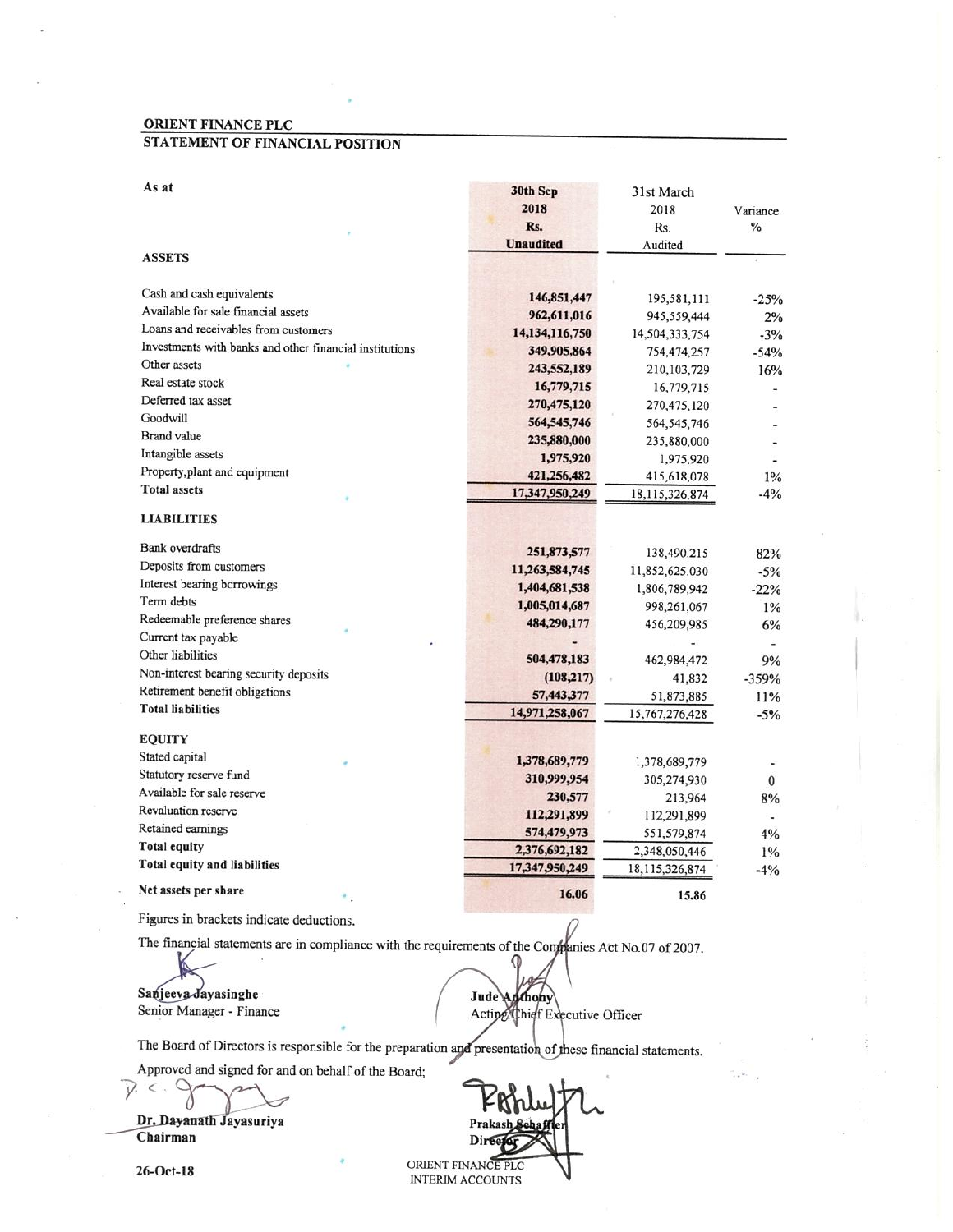#### STATEMENT OF FINANCIAL POSITION

×.

| As at                                                   | 30th Sep          | 31st March     |              |
|---------------------------------------------------------|-------------------|----------------|--------------|
|                                                         | 2018              | 2018           | Variance     |
|                                                         | Rs.               | Rs.            | %            |
|                                                         | <b>Unaudited</b>  | Audited        |              |
| <b>ASSETS</b>                                           |                   |                |              |
| Cash and cash equivalents                               | 146,851,447       | 195,581,111    | $-25%$       |
| Available for sale financial assets                     | 962,611,016       | 945,559,444    | 2%           |
| Loans and receivables from customers                    | 14, 134, 116, 750 | 14,504,333,754 | $-3%$        |
| Investments with banks and other financial institutions | 349,905,864       | 754,474,257    | $-54%$       |
| Other assets                                            | 243,552,189       | 210, 103, 729  | 16%          |
| Real estate stock                                       | 16,779,715        | 16,779,715     |              |
| Deferred tax asset                                      | 270,475,120       | 270,475,120    |              |
| Goodwill                                                | 564,545,746       | 564, 545, 746  |              |
| <b>Brand</b> value                                      | 235,880,000       | 235,880,000    |              |
| Intangible assets                                       | 1,975,920         | 1,975,920      |              |
| Property, plant and equipment                           | 421,256,482       | 415,618,078    | 1%           |
| <b>Total assets</b>                                     | 17,347,950,249    | 18,115,326,874 | $-4%$        |
| <b>LIABILITIES</b>                                      |                   |                |              |
| <b>Bank</b> overdrafts                                  | 251,873,577       | 138,490,215    | 82%          |
| Deposits from customers                                 | 11,263,584,745    | 11,852,625,030 | $-5%$        |
| Interest bearing borrowings                             | 1,404,681,538     | 1,806,789,942  | $-22%$       |
| Term debts                                              | 1,005,014,687     | 998,261,067    | 1%           |
| Redeemable preference shares                            | 484,290,177       | 456,209,985    | 6%           |
| Current tax payable                                     |                   |                |              |
| Other liabilities                                       | 504,478,183       | 462,984,472    | 9%           |
| Non-interest bearing security deposits                  | (108, 217)        | 41,832         | $-359%$      |
| Retirement benefit obligations                          | 57,443,377        | 51,873,885     | 11%          |
| <b>Total liabilities</b>                                | 14,971,258,067    | 15,767,276,428 | $-5%$        |
| <b>EQUITY</b>                                           |                   |                |              |
| Stated capital                                          | 1,378,689,779     | 1,378,689,779  |              |
| Statutory reserve fund                                  | 310,999,954       | 305,274,930    | $\mathbf{0}$ |
| Available for sale reserve                              | 230,577           | 213,964        | 8%           |
| Revaluation reserve                                     | 112,291,899       | 112,291,899    |              |
| Retained earnings                                       | 574,479,973       | 551,579,874    | 4%           |
| <b>Total equity</b>                                     | 2,376,692,182     | 2,348,050,446  | 1%           |
| Total equity and liabilities                            | 17,347,950,249    | 18,115,326,874 | $-4%$        |
| Net assets per share                                    | 16.06             | 15.86          |              |
|                                                         |                   |                |              |

Figures in brackets indicate deductions.

The financial statements are in compliance with the requirements of the Companies Act No.07 of 2007.

Sanjeeva Jayasinghe Senior Manager - Finance

Jude Anthony Acting Chief Executive Officer

The Board of Directors is responsible for the preparation and presentation of these financial statements.

Approved and signed for and on behalf of the Board;

Dr. Dayanath Jayasuriya Chairman

ORIENT FINANCE PLC INTERIM ACCOUNTS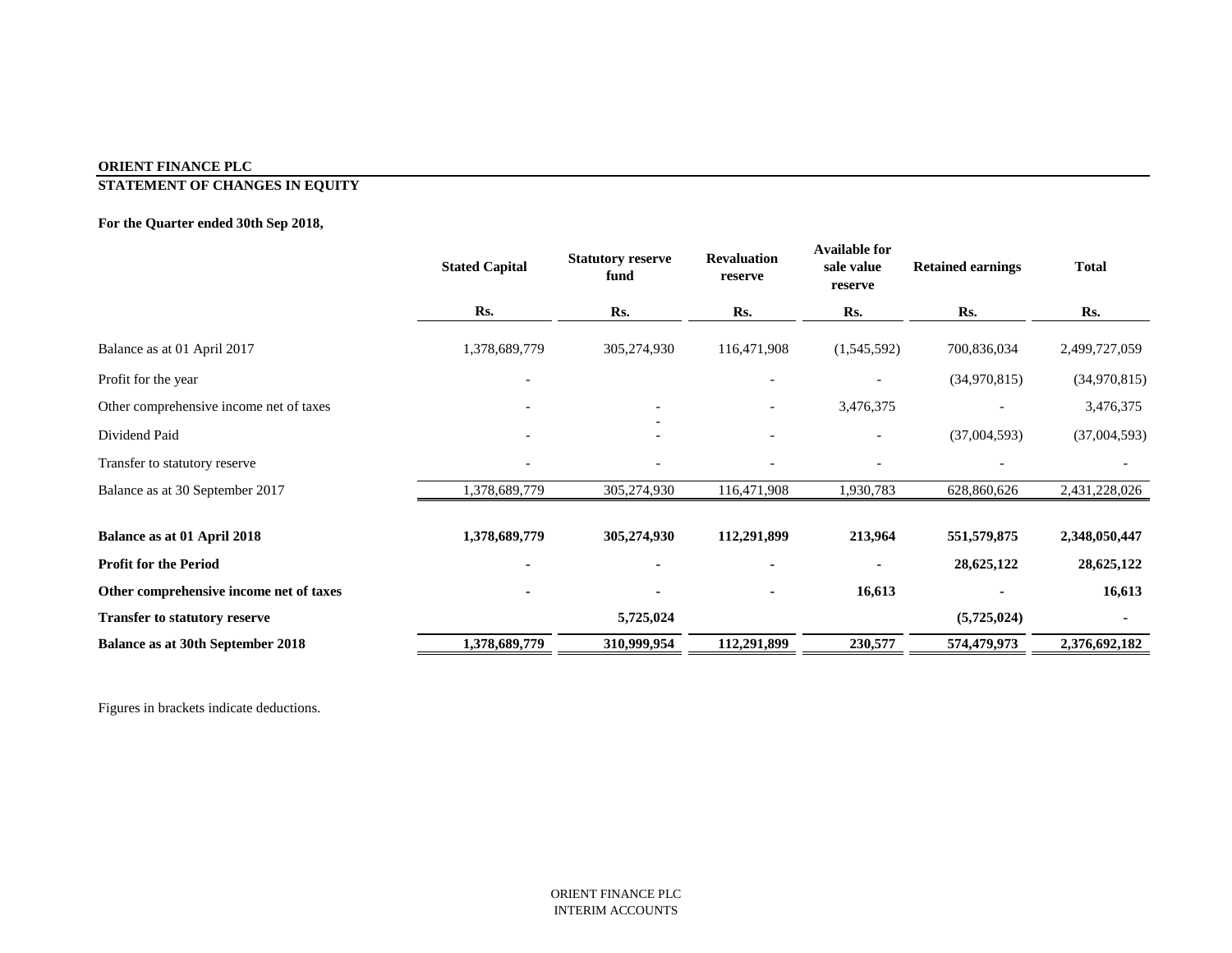# **STATEMENT OF CHANGES IN EQUITY**

# **For the Quarter ended 30th Sep 2018,**

|                                          | <b>Stated Capital</b>    | <b>Statutory reserve</b><br>fund | <b>Revaluation</b><br>reserve | <b>Available for</b><br>sale value<br>reserve | <b>Retained earnings</b> | <b>Total</b>  |
|------------------------------------------|--------------------------|----------------------------------|-------------------------------|-----------------------------------------------|--------------------------|---------------|
|                                          | Rs.                      | Rs.                              | Rs.                           | Rs.                                           | Rs.                      | Rs.           |
| Balance as at 01 April 2017              | 1,378,689,779            | 305,274,930                      | 116,471,908                   | (1,545,592)                                   | 700,836,034              | 2,499,727,059 |
| Profit for the year                      | $\overline{\phantom{0}}$ |                                  |                               |                                               | (34,970,815)             | (34,970,815)  |
| Other comprehensive income net of taxes  |                          |                                  |                               | 3,476,375                                     |                          | 3,476,375     |
| Dividend Paid                            |                          |                                  |                               |                                               | (37,004,593)             | (37,004,593)  |
| Transfer to statutory reserve            |                          |                                  |                               |                                               |                          |               |
| Balance as at 30 September 2017          | 1,378,689,779            | 305,274,930                      | 116,471,908                   | 1,930,783                                     | 628,860,626              | 2,431,228,026 |
| <b>Balance as at 01 April 2018</b>       | 1,378,689,779            | 305,274,930                      | 112,291,899                   | 213,964                                       | 551, 579, 875            | 2,348,050,447 |
| <b>Profit for the Period</b>             |                          | ۰                                |                               |                                               | 28,625,122               | 28,625,122    |
| Other comprehensive income net of taxes  |                          |                                  |                               | 16,613                                        |                          | 16,613        |
| <b>Transfer to statutory reserve</b>     |                          | 5,725,024                        |                               |                                               | (5,725,024)              |               |
| <b>Balance as at 30th September 2018</b> | 1,378,689,779            | 310,999,954                      | 112,291,899                   | 230,577                                       | 574,479,973              | 2,376,692,182 |

Figures in brackets indicate deductions.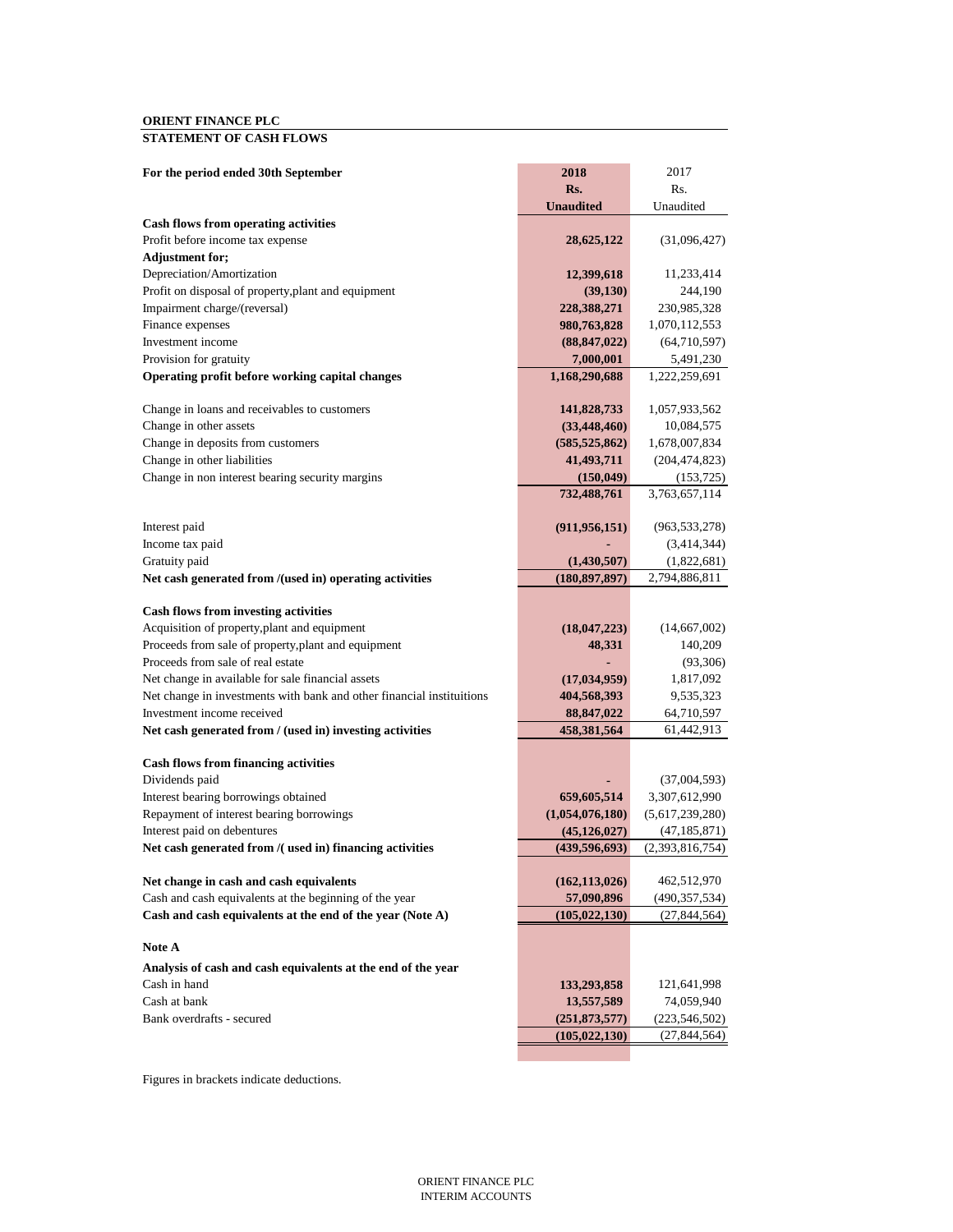### **STATEMENT OF CASH FLOWS**

| For the period ended 30th September                                     | 2018             | 2017                             |
|-------------------------------------------------------------------------|------------------|----------------------------------|
|                                                                         | Rs.              | Rs.                              |
|                                                                         | <b>Unaudited</b> | Unaudited                        |
| <b>Cash flows from operating activities</b>                             |                  |                                  |
| Profit before income tax expense                                        | 28,625,122       | (31,096,427)                     |
| <b>Adjustment for;</b>                                                  |                  |                                  |
| Depreciation/Amortization                                               | 12,399,618       | 11,233,414                       |
| Profit on disposal of property, plant and equipment                     | (39, 130)        | 244,190                          |
| Impairment charge/(reversal)                                            | 228,388,271      | 230,985,328                      |
| Finance expenses                                                        | 980,763,828      | 1,070,112,553                    |
| Investment income                                                       | (88, 847, 022)   | (64,710,597)                     |
| Provision for gratuity                                                  | 7,000,001        | 5,491,230                        |
| Operating profit before working capital changes                         | 1,168,290,688    | 1,222,259,691                    |
| Change in loans and receivables to customers                            | 141,828,733      | 1,057,933,562                    |
| Change in other assets                                                  | (33, 448, 460)   | 10,084,575                       |
| Change in deposits from customers                                       | (585, 525, 862)  | 1,678,007,834                    |
| Change in other liabilities                                             | 41,493,711       | (204, 474, 823)                  |
| Change in non interest bearing security margins                         | (150, 049)       | (153, 725)                       |
|                                                                         | 732,488,761      | 3,763,657,114                    |
| Interest paid                                                           | (911, 956, 151)  | (963, 533, 278)                  |
| Income tax paid                                                         |                  | (3,414,344)                      |
| Gratuity paid                                                           | (1,430,507)      | (1,822,681)                      |
| Net cash generated from /(used in) operating activities                 | (180, 897, 897)  | 2,794,886,811                    |
| <b>Cash flows from investing activities</b>                             |                  |                                  |
| Acquisition of property, plant and equipment                            | (18,047,223)     | (14,667,002)                     |
| Proceeds from sale of property, plant and equipment                     | 48,331           | 140,209                          |
| Proceeds from sale of real estate                                       |                  | (93, 306)                        |
| Net change in available for sale financial assets                       | (17, 034, 959)   | 1,817,092                        |
| Net change in investments with bank and other financial instituitions   | 404,568,393      | 9,535,323                        |
| Investment income received                                              | 88, 847, 022     | 64,710,597                       |
| Net cash generated from / (used in) investing activities                | 458,381,564      | 61,442,913                       |
|                                                                         |                  |                                  |
| <b>Cash flows from financing activities</b>                             |                  |                                  |
| Dividends paid                                                          |                  | (37,004,593)                     |
| Interest bearing borrowings obtained                                    | 659,605,514      | 3,307,612,990<br>(5,617,239,280) |
| Repayment of interest bearing borrowings<br>Interest paid on debentures | (1,054,076,180)  |                                  |
| Net cash generated from /( used in) financing activities                | (45, 126, 027)   | (47, 185, 871)                   |
|                                                                         | (439, 596, 693)  | (2,393,816,754)                  |
| Net change in cash and cash equivalents                                 | (162, 113, 026)  | 462,512,970                      |
| Cash and cash equivalents at the beginning of the year                  | 57,090,896       | (490, 357, 534)                  |
| Cash and cash equivalents at the end of the year (Note A)               | (105, 022, 130)  | (27, 844, 564)                   |
| Note A                                                                  |                  |                                  |
| Analysis of cash and cash equivalents at the end of the year            |                  |                                  |
| Cash in hand                                                            | 133,293,858      | 121,641,998                      |
| Cash at bank                                                            | 13,557,589       | 74,059,940                       |
| Bank overdrafts - secured                                               | (251, 873, 577)  | (223, 546, 502)                  |
|                                                                         | (105, 022, 130)  | (27, 844, 564)                   |
|                                                                         |                  |                                  |

Figures in brackets indicate deductions.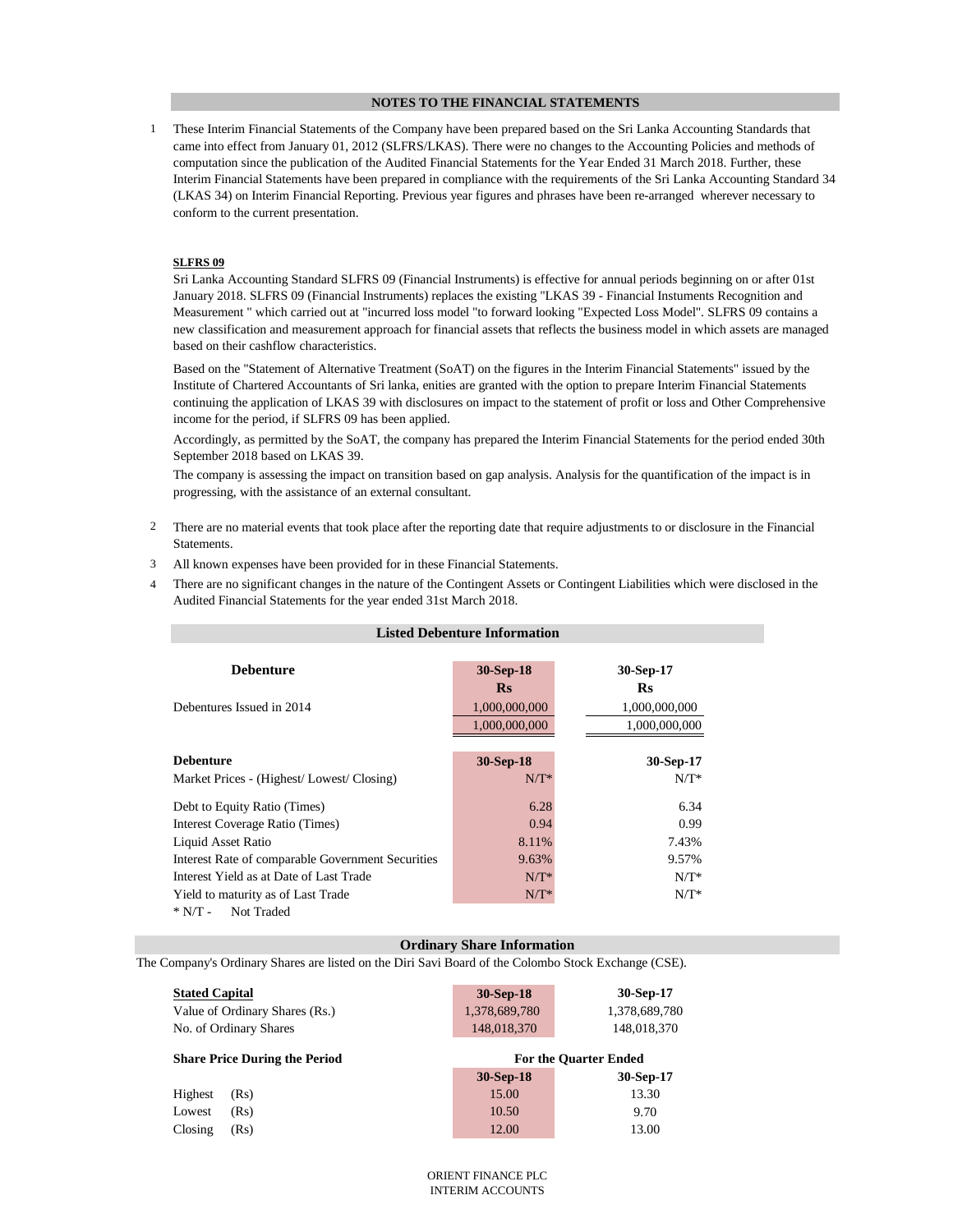#### **NOTES TO THE FINANCIAL STATEMENTS**

1 These Interim Financial Statements of the Company have been prepared based on the Sri Lanka Accounting Standards that came into effect from January 01, 2012 (SLFRS/LKAS). There were no changes to the Accounting Policies and methods of computation since the publication of the Audited Financial Statements for the Year Ended 31 March 2018. Further, these Interim Financial Statements have been prepared in compliance with the requirements of the Sri Lanka Accounting Standard 34 (LKAS 34) on Interim Financial Reporting. Previous year figures and phrases have been re-arranged wherever necessary to conform to the current presentation.

#### **SLFRS 09**

Sri Lanka Accounting Standard SLFRS 09 (Financial Instruments) is effective for annual periods beginning on or after 01st January 2018. SLFRS 09 (Financial Instruments) replaces the existing "LKAS 39 - Financial Instuments Recognition and Measurement " which carried out at "incurred loss model "to forward looking "Expected Loss Model". SLFRS 09 contains a new classification and measurement approach for financial assets that reflects the business model in which assets are managed based on their cashflow characteristics.

Based on the "Statement of Alternative Treatment (SoAT) on the figures in the Interim Financial Statements" issued by the Institute of Chartered Accountants of Sri lanka, enities are granted with the option to prepare Interim Financial Statements continuing the application of LKAS 39 with disclosures on impact to the statement of profit or loss and Other Comprehensive income for the period, if SLFRS 09 has been applied.

Accordingly, as permitted by the SoAT, the company has prepared the Interim Financial Statements for the period ended 30th September 2018 based on LKAS 39.

The company is assessing the impact on transition based on gap analysis. Analysis for the quantification of the impact is in progressing, with the assistance of an external consultant.

- 2 There are no material events that took place after the reporting date that require adjustments to or disclosure in the Financial Statements.
- 3 All known expenses have been provided for in these Financial Statements.
- 4 There are no significant changes in the nature of the Contingent Assets or Contingent Liabilities which were disclosed in the Audited Financial Statements for the year ended 31st March 2018.

|                                                          | <b>Listed Debenture Information</b> |               |
|----------------------------------------------------------|-------------------------------------|---------------|
| <b>Debenture</b>                                         | 30-Sep-18                           | 30-Sep-17     |
|                                                          | <b>Rs</b>                           | <b>Rs</b>     |
| Debentures Issued in 2014                                | 1,000,000,000                       | 1,000,000,000 |
|                                                          | 1,000,000,000                       | 1,000,000,000 |
|                                                          |                                     |               |
| <b>Debenture</b>                                         | 30-Sep-18                           | 30-Sep-17     |
| Market Prices - (Highest/Lowest/Closing)                 | $N/T^*$                             | $N/T^*$       |
| Debt to Equity Ratio (Times)                             | 6.28                                | 6.34          |
| Interest Coverage Ratio (Times)                          | 0.94                                | 0.99          |
| Liquid Asset Ratio                                       | 8.11%                               | 7.43%         |
| <b>Interest Rate of comparable Government Securities</b> | 9.63%                               | 9.57%         |
| Interest Yield as at Date of Last Trade                  | $N/T^*$                             | $N/T^*$       |
| Yield to maturity as of Last Trade                       | $N/T^*$                             | $N/T^*$       |
| $*$ N/T -<br>Not Traded                                  |                                     |               |

#### **Ordinary Share Information**

The Company's Ordinary Shares are listed on the Diri Savi Board of the Colombo Stock Exchange (CSE).

| <b>Stated Capital</b>                | 30-Sep-18     | 30-Sep-17                    |
|--------------------------------------|---------------|------------------------------|
| Value of Ordinary Shares (Rs.)       | 1,378,689,780 | 1,378,689,780                |
| No. of Ordinary Shares               | 148,018,370   | 148,018,370                  |
|                                      |               |                              |
| <b>Share Price During the Period</b> |               | <b>For the Quarter Ended</b> |
|                                      | 30-Sep-18     | 30-Sep-17                    |
| Highest<br>(Rs)                      | 15.00         | 13.30                        |
| (Rs)<br>Lowest                       | 10.50         | 9.70                         |
| Closing<br>(Rs)                      | 12.00         | 13.00                        |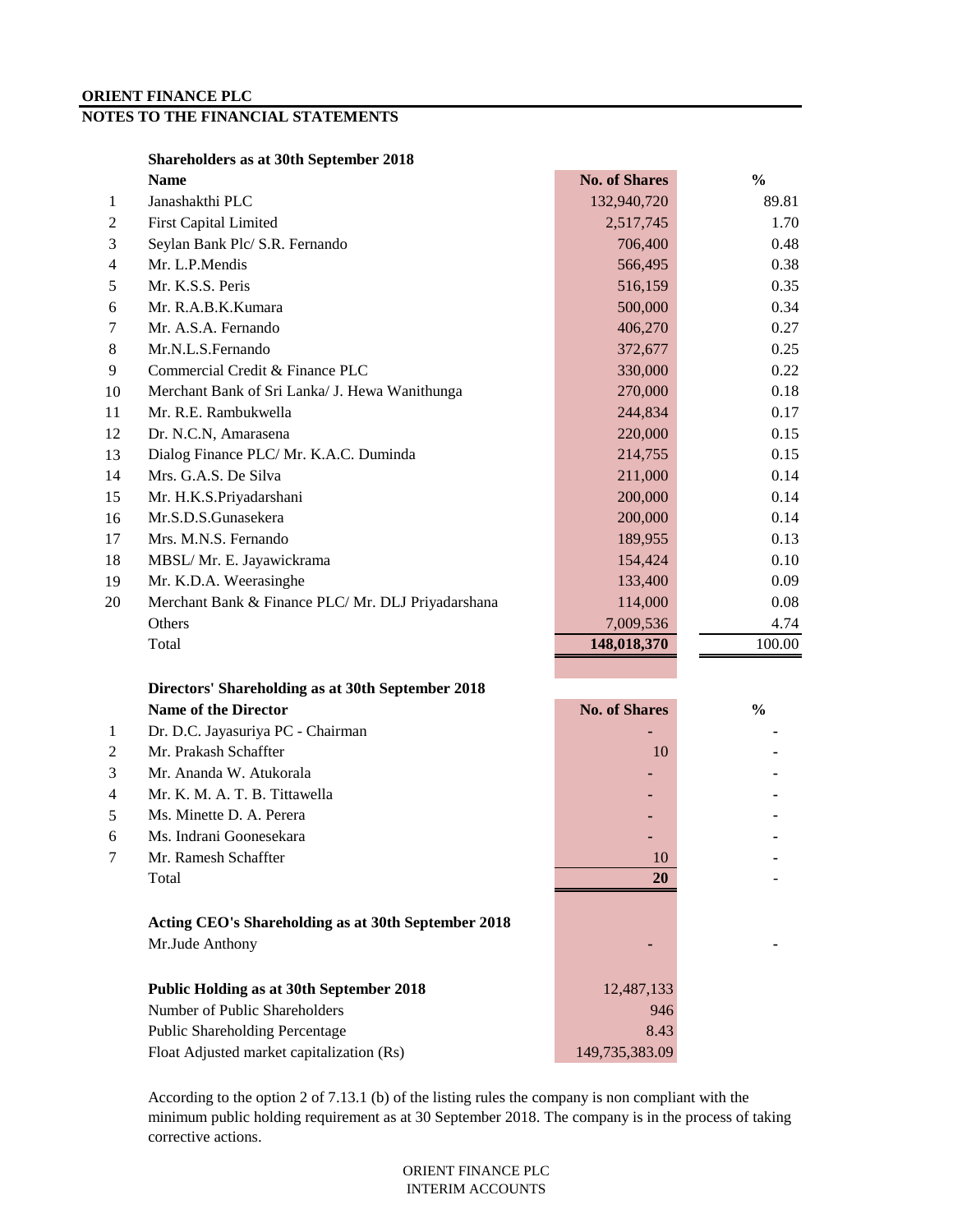## **NOTES TO THE FINANCIAL STATEMENTS**

|  | Shareholders as at 30th September 2018 |  |  |  |  |
|--|----------------------------------------|--|--|--|--|
|--|----------------------------------------|--|--|--|--|

|    | <b>Name</b>                                        | <b>No. of Shares</b> | $\frac{6}{9}$ |
|----|----------------------------------------------------|----------------------|---------------|
| 1  | Janashakthi PLC                                    | 132,940,720          | 89.81         |
| 2  | <b>First Capital Limited</b>                       | 2,517,745            | 1.70          |
| 3  | Seylan Bank Plc/ S.R. Fernando                     | 706,400              | 0.48          |
| 4  | Mr. L.P.Mendis                                     | 566,495              | 0.38          |
| 5  | Mr. K.S.S. Peris                                   | 516,159              | 0.35          |
| 6  | Mr. R.A.B.K.Kumara                                 | 500,000              | 0.34          |
| 7  | Mr. A.S.A. Fernando                                | 406,270              | 0.27          |
| 8  | Mr.N.L.S.Fernando                                  | 372,677              | 0.25          |
| 9  | Commercial Credit & Finance PLC                    | 330,000              | 0.22          |
| 10 | Merchant Bank of Sri Lanka/ J. Hewa Wanithunga     | 270,000              | 0.18          |
| 11 | Mr. R.E. Rambukwella                               | 244,834              | 0.17          |
| 12 | Dr. N.C.N, Amarasena                               | 220,000              | 0.15          |
| 13 | Dialog Finance PLC/ Mr. K.A.C. Duminda             | 214,755              | 0.15          |
| 14 | Mrs. G.A.S. De Silva                               | 211,000              | 0.14          |
| 15 | Mr. H.K.S.Priyadarshani                            | 200,000              | 0.14          |
| 16 | Mr.S.D.S.Gunasekera                                | 200,000              | 0.14          |
| 17 | Mrs. M.N.S. Fernando                               | 189,955              | 0.13          |
| 18 | MBSL/ Mr. E. Jayawickrama                          | 154,424              | 0.10          |
| 19 | Mr. K.D.A. Weerasinghe                             | 133,400              | 0.09          |
| 20 | Merchant Bank & Finance PLC/ Mr. DLJ Priyadarshana | 114,000              | 0.08          |
|    | Others                                             | 7,009,536            | 4.74          |
|    | Total                                              | 148,018,370          | 100.00        |
|    |                                                    |                      |               |

#### **Directors' Shareholding as at 30th September 2018** Name of the Director **No. of Shares**  $\frac{1}{2}$  **No. of Shares**  $\frac{1}{2}$  **No. of Shares**  $\frac{1}{2}$

|                | rame or the Director                                                   | <b>THU, AT DIRIT CA</b> | 7 V |
|----------------|------------------------------------------------------------------------|-------------------------|-----|
| 1              | Dr. D.C. Jayasuriya PC - Chairman                                      |                         |     |
| 2              | Mr. Prakash Schaffter                                                  | 10                      |     |
| 3              | Mr. Ananda W. Atukorala                                                |                         |     |
| $\overline{4}$ | Mr. K. M. A. T. B. Tittawella                                          |                         |     |
| 5              | Ms. Minette D. A. Perera                                               |                         |     |
| 6              | Ms. Indrani Goonesekara                                                |                         |     |
| 7              | Mr. Ramesh Schaffter                                                   | 10                      |     |
|                | Total                                                                  | <b>20</b>               |     |
|                | Acting CEO's Shareholding as at 30th September 2018<br>Mr.Jude Anthony |                         |     |
|                | <b>Public Holding as at 30th September 2018</b>                        | 12,487,133              |     |
|                | Number of Public Shareholders                                          | 946                     |     |
|                | <b>Public Shareholding Percentage</b>                                  | 8.43                    |     |
|                | Float Adjusted market capitalization (Rs)                              | 149,735,383.09          |     |
|                |                                                                        |                         |     |

According to the option 2 of 7.13.1 (b) of the listing rules the company is non compliant with the minimum public holding requirement as at 30 September 2018. The company is in the process of taking corrective actions.